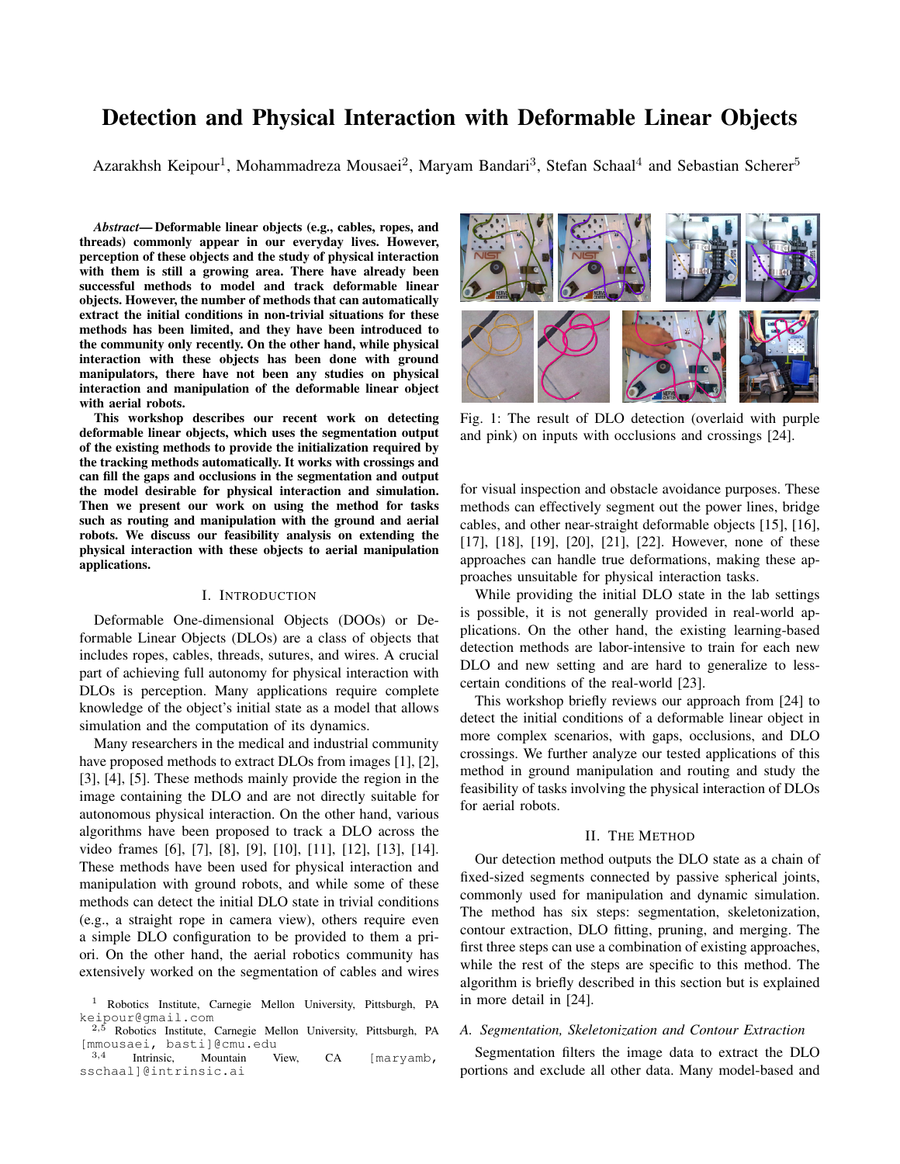# Detection and Physical Interaction with Deformable Linear Objects

Azarakhsh Keipour<sup>1</sup>, Mohammadreza Mousaei<sup>2</sup>, Maryam Bandari<sup>3</sup>, Stefan Schaal<sup>4</sup> and Sebastian Scherer<sup>5</sup>

*Abstract*— Deformable linear objects (e.g., cables, ropes, and threads) commonly appear in our everyday lives. However, perception of these objects and the study of physical interaction with them is still a growing area. There have already been successful methods to model and track deformable linear objects. However, the number of methods that can automatically extract the initial conditions in non-trivial situations for these methods has been limited, and they have been introduced to the community only recently. On the other hand, while physical interaction with these objects has been done with ground manipulators, there have not been any studies on physical interaction and manipulation of the deformable linear object with aerial robots.

This workshop describes our recent work on detecting deformable linear objects, which uses the segmentation output of the existing methods to provide the initialization required by the tracking methods automatically. It works with crossings and can fill the gaps and occlusions in the segmentation and output the model desirable for physical interaction and simulation. Then we present our work on using the method for tasks such as routing and manipulation with the ground and aerial robots. We discuss our feasibility analysis on extending the physical interaction with these objects to aerial manipulation applications.

#### I. INTRODUCTION

Deformable One-dimensional Objects (DOOs) or Deformable Linear Objects (DLOs) are a class of objects that includes ropes, cables, threads, sutures, and wires. A crucial part of achieving full autonomy for physical interaction with DLOs is perception. Many applications require complete knowledge of the object's initial state as a model that allows simulation and the computation of its dynamics.

Many researchers in the medical and industrial community have proposed methods to extract DLOs from images [1], [2], [3], [4], [5]. These methods mainly provide the region in the image containing the DLO and are not directly suitable for autonomous physical interaction. On the other hand, various algorithms have been proposed to track a DLO across the video frames [6], [7], [8], [9], [10], [11], [12], [13], [14]. These methods have been used for physical interaction and manipulation with ground robots, and while some of these methods can detect the initial DLO state in trivial conditions (e.g., a straight rope in camera view), others require even a simple DLO configuration to be provided to them a priori. On the other hand, the aerial robotics community has extensively worked on the segmentation of cables and wires



Fig. 1: The result of DLO detection (overlaid with purple and pink) on inputs with occlusions and crossings [24].

for visual inspection and obstacle avoidance purposes. These methods can effectively segment out the power lines, bridge cables, and other near-straight deformable objects [15], [16], [17], [18], [19], [20], [21], [22]. However, none of these approaches can handle true deformations, making these approaches unsuitable for physical interaction tasks.

While providing the initial DLO state in the lab settings is possible, it is not generally provided in real-world applications. On the other hand, the existing learning-based detection methods are labor-intensive to train for each new DLO and new setting and are hard to generalize to lesscertain conditions of the real-world [23].

This workshop briefly reviews our approach from [24] to detect the initial conditions of a deformable linear object in more complex scenarios, with gaps, occlusions, and DLO crossings. We further analyze our tested applications of this method in ground manipulation and routing and study the feasibility of tasks involving the physical interaction of DLOs for aerial robots.

#### II. THE METHOD

Our detection method outputs the DLO state as a chain of fixed-sized segments connected by passive spherical joints, commonly used for manipulation and dynamic simulation. The method has six steps: segmentation, skeletonization, contour extraction, DLO fitting, pruning, and merging. The first three steps can use a combination of existing approaches, while the rest of the steps are specific to this method. The algorithm is briefly described in this section but is explained in more detail in [24].

## *A. Segmentation, Skeletonization and Contour Extraction*

Segmentation filters the image data to extract the DLO portions and exclude all other data. Many model-based and

<sup>1</sup> Robotics Institute, Carnegie Mellon University, Pittsburgh, PA keipour@gmail.com

Robotics Institute, Carnegie Mellon University, Pittsburgh, PA [mmousaei, basti]@cmu.edu 3,4

Intrinsic, Mountain View, CA [maryamb, sschaal]@intrinsic.ai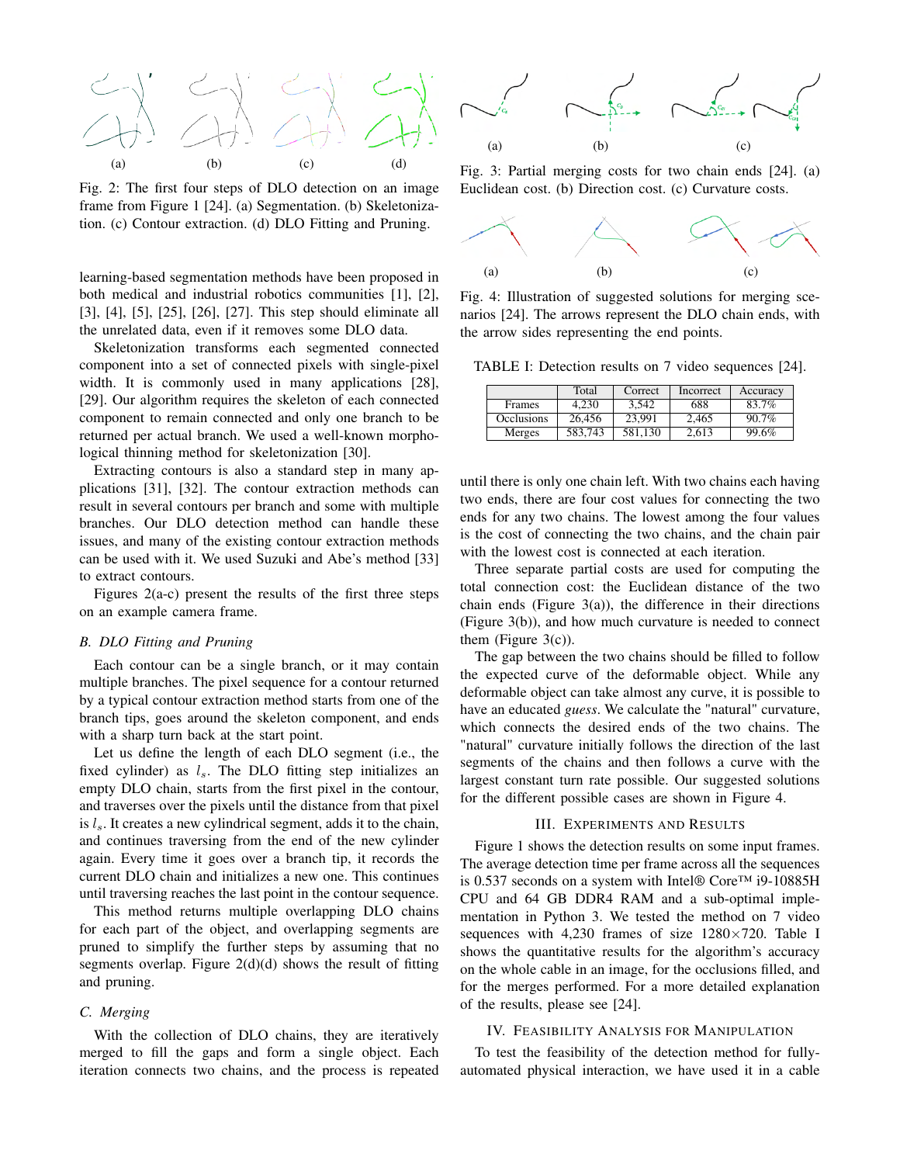

Fig. 2: The first four steps of DLO detection on an image frame from Figure 1 [24]. (a) Segmentation. (b) Skeletonization. (c) Contour extraction. (d) DLO Fitting and Pruning.

learning-based segmentation methods have been proposed in both medical and industrial robotics communities [1], [2], [3], [4], [5], [25], [26], [27]. This step should eliminate all the unrelated data, even if it removes some DLO data.

Skeletonization transforms each segmented connected component into a set of connected pixels with single-pixel width. It is commonly used in many applications [28], [29]. Our algorithm requires the skeleton of each connected component to remain connected and only one branch to be returned per actual branch. We used a well-known morphological thinning method for skeletonization [30].

Extracting contours is also a standard step in many applications [31], [32]. The contour extraction methods can result in several contours per branch and some with multiple branches. Our DLO detection method can handle these issues, and many of the existing contour extraction methods can be used with it. We used Suzuki and Abe's method [33] to extract contours.

Figures 2(a-c) present the results of the first three steps on an example camera frame.

#### *B. DLO Fitting and Pruning*

Each contour can be a single branch, or it may contain multiple branches. The pixel sequence for a contour returned by a typical contour extraction method starts from one of the branch tips, goes around the skeleton component, and ends with a sharp turn back at the start point.

Let us define the length of each DLO segment (i.e., the fixed cylinder) as  $l_s$ . The DLO fitting step initializes an empty DLO chain, starts from the first pixel in the contour, and traverses over the pixels until the distance from that pixel is  $l_s$ . It creates a new cylindrical segment, adds it to the chain, and continues traversing from the end of the new cylinder again. Every time it goes over a branch tip, it records the current DLO chain and initializes a new one. This continues until traversing reaches the last point in the contour sequence.

This method returns multiple overlapping DLO chains for each part of the object, and overlapping segments are pruned to simplify the further steps by assuming that no segments overlap. Figure  $2(d)(d)$  shows the result of fitting and pruning.

#### *C. Merging*

With the collection of DLO chains, they are iteratively merged to fill the gaps and form a single object. Each iteration connects two chains, and the process is repeated



Fig. 3: Partial merging costs for two chain ends [24]. (a) Euclidean cost. (b) Direction cost. (c) Curvature costs.



Fig. 4: Illustration of suggested solutions for merging scenarios [24]. The arrows represent the DLO chain ends, with the arrow sides representing the end points.

TABLE I: Detection results on 7 video sequences [24].

|                   | Total   | Correct | Incorrect | Accuracy |
|-------------------|---------|---------|-----------|----------|
| <b>Frames</b>     | 4.230   | 3.542   | 688       | 83.7%    |
| <b>Occlusions</b> | 26,456  | 23.991  | 2.465     | 90.7%    |
| Merges            | 583.743 | 581,130 | 2.613     | 99.6%    |

until there is only one chain left. With two chains each having two ends, there are four cost values for connecting the two ends for any two chains. The lowest among the four values is the cost of connecting the two chains, and the chain pair with the lowest cost is connected at each iteration.

Three separate partial costs are used for computing the total connection cost: the Euclidean distance of the two chain ends (Figure  $3(a)$ ), the difference in their directions (Figure 3(b)), and how much curvature is needed to connect them (Figure  $3(c)$ ).

The gap between the two chains should be filled to follow the expected curve of the deformable object. While any deformable object can take almost any curve, it is possible to have an educated *guess*. We calculate the "natural" curvature, which connects the desired ends of the two chains. The "natural" curvature initially follows the direction of the last segments of the chains and then follows a curve with the largest constant turn rate possible. Our suggested solutions for the different possible cases are shown in Figure 4.

### III. EXPERIMENTS AND RESULTS

Figure 1 shows the detection results on some input frames. The average detection time per frame across all the sequences is 0.537 seconds on a system with Intel® Core™ i9-10885H CPU and 64 GB DDR4 RAM and a sub-optimal implementation in Python 3. We tested the method on 7 video sequences with 4,230 frames of size  $1280\times720$ . Table I shows the quantitative results for the algorithm's accuracy on the whole cable in an image, for the occlusions filled, and for the merges performed. For a more detailed explanation of the results, please see [24].

#### IV. FEASIBILITY ANALYSIS FOR MANIPULATION

To test the feasibility of the detection method for fullyautomated physical interaction, we have used it in a cable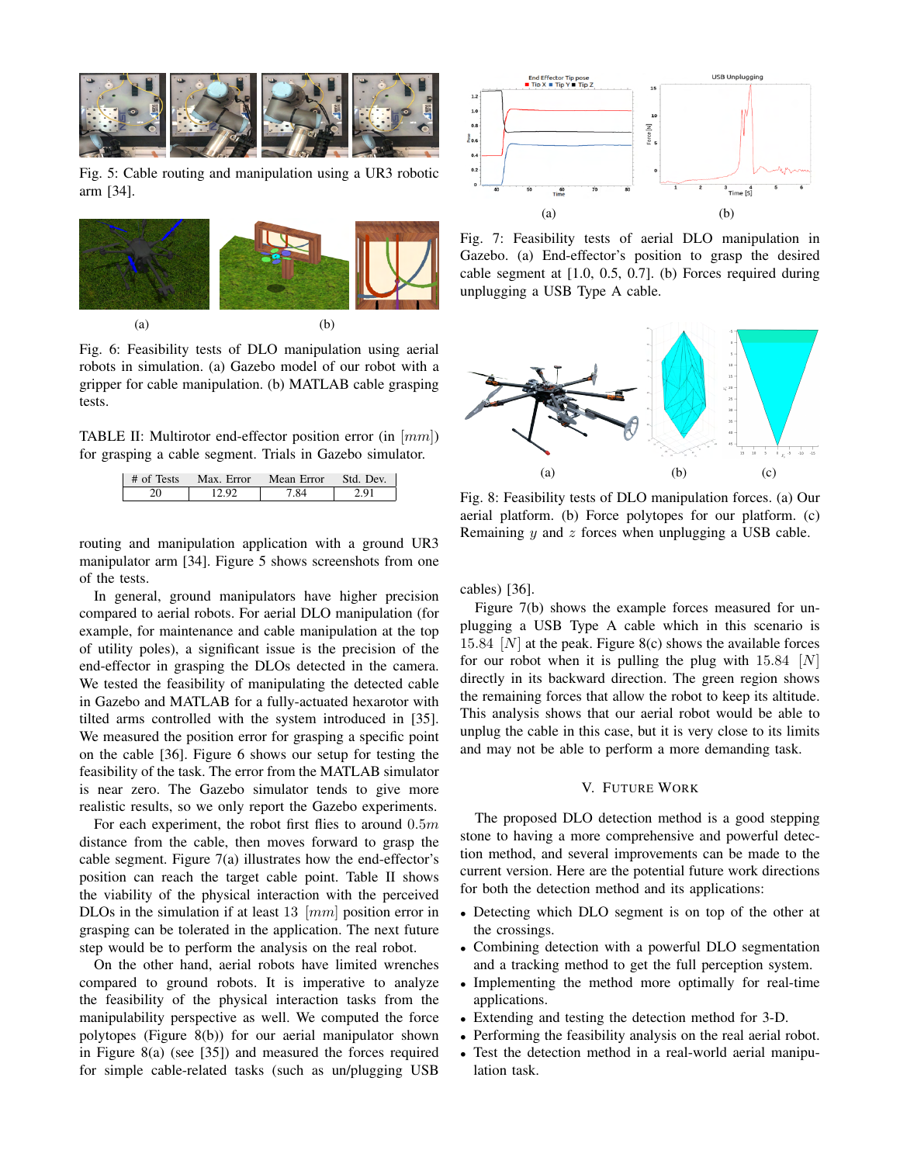

Fig. 5: Cable routing and manipulation using a UR3 robotic arm [34].



Fig. 6: Feasibility tests of DLO manipulation using aerial robots in simulation. (a) Gazebo model of our robot with a gripper for cable manipulation. (b) MATLAB cable grasping tests.

TABLE II: Multirotor end-effector position error (in [mm]) for grasping a cable segment. Trials in Gazebo simulator.

| # of Tests | Max. Error | Mean Error   Std. Dev. |     |
|------------|------------|------------------------|-----|
|            | 12.QQ      | 7.84                   | 201 |

routing and manipulation application with a ground UR3 manipulator arm [34]. Figure 5 shows screenshots from one of the tests.

In general, ground manipulators have higher precision compared to aerial robots. For aerial DLO manipulation (for example, for maintenance and cable manipulation at the top of utility poles), a significant issue is the precision of the end-effector in grasping the DLOs detected in the camera. We tested the feasibility of manipulating the detected cable in Gazebo and MATLAB for a fully-actuated hexarotor with tilted arms controlled with the system introduced in [35]. We measured the position error for grasping a specific point on the cable [36]. Figure 6 shows our setup for testing the feasibility of the task. The error from the MATLAB simulator is near zero. The Gazebo simulator tends to give more realistic results, so we only report the Gazebo experiments.

For each experiment, the robot first flies to around  $0.5m$ distance from the cable, then moves forward to grasp the cable segment. Figure 7(a) illustrates how the end-effector's position can reach the target cable point. Table II shows the viability of the physical interaction with the perceived DLOs in the simulation if at least 13  $[mm]$  position error in grasping can be tolerated in the application. The next future step would be to perform the analysis on the real robot.

On the other hand, aerial robots have limited wrenches compared to ground robots. It is imperative to analyze the feasibility of the physical interaction tasks from the manipulability perspective as well. We computed the force polytopes (Figure 8(b)) for our aerial manipulator shown in Figure 8(a) (see [35]) and measured the forces required for simple cable-related tasks (such as un/plugging USB



Fig. 7: Feasibility tests of aerial DLO manipulation in Gazebo. (a) End-effector's position to grasp the desired cable segment at [1.0, 0.5, 0.7]. (b) Forces required during unplugging a USB Type A cable.



Fig. 8: Feasibility tests of DLO manipulation forces. (a) Our aerial platform. (b) Force polytopes for our platform. (c) Remaining  $y$  and  $z$  forces when unplugging a USB cable.

cables) [36].

Figure 7(b) shows the example forces measured for unplugging a USB Type A cable which in this scenario is 15.84  $[N]$  at the peak. Figure 8(c) shows the available forces for our robot when it is pulling the plug with  $15.84$  [N] directly in its backward direction. The green region shows the remaining forces that allow the robot to keep its altitude. This analysis shows that our aerial robot would be able to unplug the cable in this case, but it is very close to its limits and may not be able to perform a more demanding task.

### V. FUTURE WORK

The proposed DLO detection method is a good stepping stone to having a more comprehensive and powerful detection method, and several improvements can be made to the current version. Here are the potential future work directions for both the detection method and its applications:

- Detecting which DLO segment is on top of the other at the crossings.
- Combining detection with a powerful DLO segmentation and a tracking method to get the full perception system.
- Implementing the method more optimally for real-time applications.
- Extending and testing the detection method for 3-D.
- Performing the feasibility analysis on the real aerial robot.
- Test the detection method in a real-world aerial manipulation task.